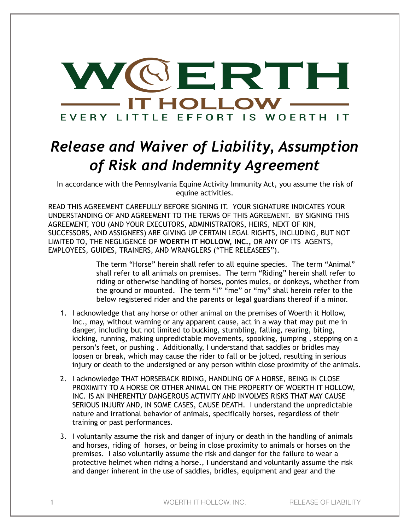

## *Release and Waiver of Liability, Assumption of Risk and Indemnity Agreement*

In accordance with the Pennsylvania Equine Activity Immunity Act, you assume the risk of equine activities.

READ THIS AGREEMENT CAREFULLY BEFORE SIGNING IT. YOUR SIGNATURE INDICATES YOUR UNDERSTANDING OF AND AGREEMENT TO THE TERMS OF THIS AGREEMENT. BY SIGNING THIS AGREEMENT, YOU (AND YOUR EXECUTORS, ADMINISTRATORS, HEIRS, NEXT OF KIN, SUCCESSORS, AND ASSIGNEES) ARE GIVING UP CERTAIN LEGAL RIGHTS, INCLUDING, BUT NOT LIMITED TO, THE NEGLIGENCE OF **WOERTH IT HOLLOW, INC.,** OR ANY OF ITS AGENTS, EMPLOYEES, GUIDES, TRAINERS, AND WRANGLERS ("THE RELEASEES").

> The term "Horse" herein shall refer to all equine species. The term "Animal" shall refer to all animals on premises. The term "Riding" herein shall refer to riding or otherwise handling of horses, ponies mules, or donkeys, whether from the ground or mounted. The term "I" "me" or "my" shall herein refer to the below registered rider and the parents or legal guardians thereof if a minor.

- 1. I acknowledge that any horse or other animal on the premises of Woerth it Hollow, Inc., may, without warning or any apparent cause, act in a way that may put me in danger, including but not limited to bucking, stumbling, falling, rearing, biting, kicking, running, making unpredictable movements, spooking, jumping , stepping on a person's feet, or pushing . Additionally, I understand that saddles or bridles may loosen or break, which may cause the rider to fall or be jolted, resulting in serious injury or death to the undersigned or any person within close proximity of the animals.
- 2. I acknowledge THAT HORSEBACK RIDING, HANDLING OF A HORSE, BEING IN CLOSE PROXIMITY TO A HORSE OR OTHER ANIMAL ON THE PROPERTY OF WOERTH IT HOLLOW, INC. IS AN INHERENTLY DANGEROUS ACTIVITY AND INVOLVES RISKS THAT MAY CAUSE SERIOUS INJURY AND, IN SOME CASES, CAUSE DEATH. I understand the unpredictable nature and irrational behavior of animals, specifically horses, regardless of their training or past performances.
- 3. I voluntarily assume the risk and danger of injury or death in the handling of animals and horses, riding of horses, or being in close proximity to animals or horses on the premises. I also voluntarily assume the risk and danger for the failure to wear a protective helmet when riding a horse., I understand and voluntarily assume the risk and danger inherent in the use of saddles, bridles, equipment and gear and the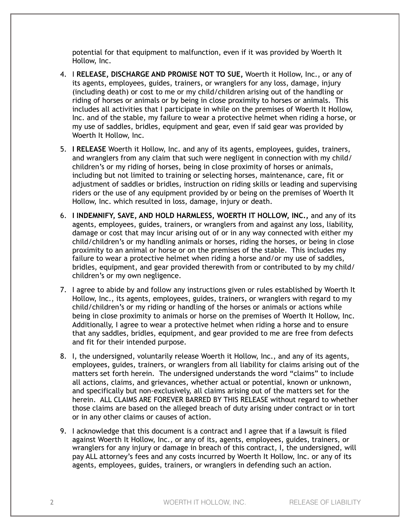potential for that equipment to malfunction, even if it was provided by Woerth It Hollow, Inc.

- 4. I **RELEASE, DISCHARGE AND PROMISE NOT TO SUE,** Woerth it Hollow, Inc., or any of its agents, employees, guides, trainers, or wranglers for any loss, damage, injury (including death) or cost to me or my child/children arising out of the handling or riding of horses or animals or by being in close proximity to horses or animals. This includes all activities that I participate in while on the premises of Woerth It Hollow, Inc. and of the stable, my failure to wear a protective helmet when riding a horse, or my use of saddles, bridles, equipment and gear, even if said gear was provided by Woerth It Hollow, Inc.
- 5. **I RELEASE** Woerth it Hollow, Inc. and any of its agents, employees, guides, trainers, and wranglers from any claim that such were negligent in connection with my child/ children's or my riding of horses, being in close proximity of horses or animals, including but not limited to training or selecting horses, maintenance, care, fit or adjustment of saddles or bridles, instruction on riding skills or leading and supervising riders or the use of any equipment provided by or being on the premises of Woerth It Hollow, Inc. which resulted in loss, damage, injury or death.
- 6. **I INDEMNIFY, SAVE, AND HOLD HARMLESS, WOERTH IT HOLLOW, INC.,** and any of its agents, employees, guides, trainers, or wranglers from and against any loss, liability, damage or cost that may incur arising out of or in any way connected with either my child/children's or my handling animals or horses, riding the horses, or being in close proximity to an animal or horse or on the premises of the stable. This includes my failure to wear a protective helmet when riding a horse and/or my use of saddles, bridles, equipment, and gear provided therewith from or contributed to by my child/ children's or my own negligence.
- 7. I agree to abide by and follow any instructions given or rules established by Woerth It Hollow, Inc., its agents, employees, guides, trainers, or wranglers with regard to my child/children's or my riding or handling of the horses or animals or actions while being in close proximity to animals or horse on the premises of Woerth It Hollow, Inc. Additionally, I agree to wear a protective helmet when riding a horse and to ensure that any saddles, bridles, equipment, and gear provided to me are free from defects and fit for their intended purpose.
- 8. I, the undersigned, voluntarily release Woerth it Hollow, Inc., and any of its agents, employees, guides, trainers, or wranglers from all liability for claims arising out of the matters set forth herein. The undersigned understands the word "claims" to include all actions, claims, and grievances, whether actual or potential, known or unknown, and specifically but non-exclusively, all claims arising out of the matters set for the herein. ALL CLAIMS ARE FOREVER BARRED BY THIS RELEASE without regard to whether those claims are based on the alleged breach of duty arising under contract or in tort or in any other claims or causes of action.
- 9. I acknowledge that this document is a contract and I agree that if a lawsuit is filed against Woerth It Hollow, Inc., or any of its, agents, employees, guides, trainers, or wranglers for any injury or damage in breach of this contract, I, the undersigned, will pay ALL attorney's fees and any costs incurred by Woerth It Hollow, Inc. or any of its agents, employees, guides, trainers, or wranglers in defending such an action.